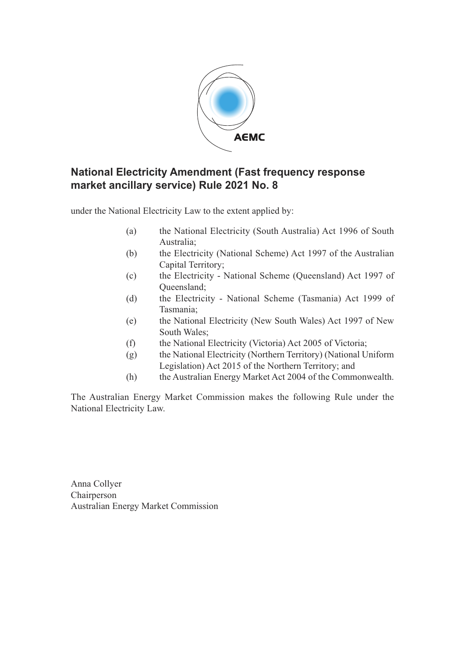

## **National Electricity Amendment (Fast frequency response market ancillary service) Rule 2021 No. 8**

under the National Electricity Law to the extent applied by:

- (a) the National Electricity (South Australia) Act 1996 of South Australia;
- (b) the Electricity (National Scheme) Act 1997 of the Australian Capital Territory;
- (c) the Electricity National Scheme (Queensland) Act 1997 of Queensland;
- (d) the Electricity National Scheme (Tasmania) Act 1999 of Tasmania;
- (e) the National Electricity (New South Wales) Act 1997 of New South Wales;
- (f) the National Electricity (Victoria) Act 2005 of Victoria;
- (g) the National Electricity (Northern Territory) (National Uniform Legislation) Act 2015 of the Northern Territory; and
- (h) the Australian Energy Market Act 2004 of the Commonwealth.

The Australian Energy Market Commission makes the following Rule under the National Electricity Law.

Anna Collyer Chairperson Australian Energy Market Commission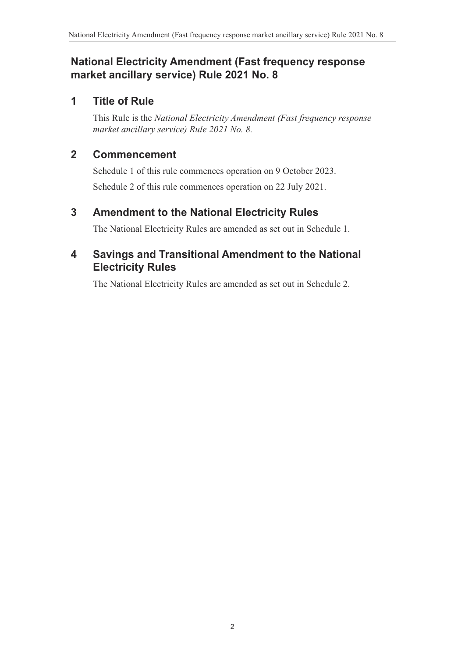# **National Electricity Amendment (Fast frequency response market ancillary service) Rule 2021 No. 8**

## **1 Title of Rule**

This Rule is the *National Electricity Amendment (Fast frequency response market ancillary service) Rule 2021 No. 8.*

# **2 Commencement**

Schedule 1 of this rule commences operation on 9 October 2023. Schedule 2 of this rule commences operation on 22 July 2021.

# **3 Amendment to the National Electricity Rules**

The National Electricity Rules are amended as set out in Schedule 1.

# **4 Savings and Transitional Amendment to the National Electricity Rules**

The National Electricity Rules are amended as set out in Schedule 2.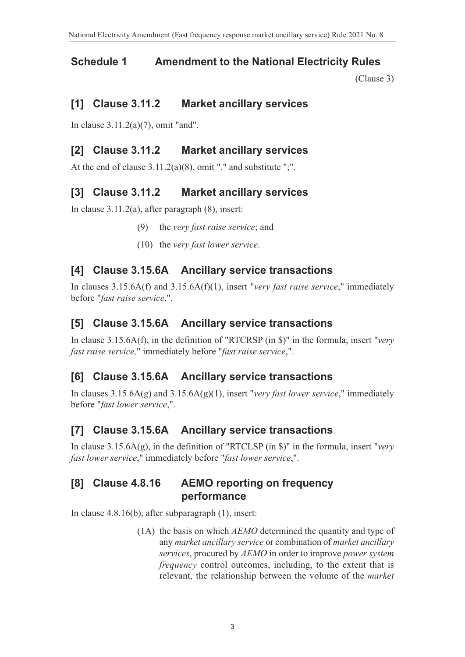### **Schedule 1 Amendment to the National Electricity Rules**

(Clause 3)

### **[1] Clause 3.11.2 Market ancillary services**

In clause 3.11.2(a)(7), omit "and".

### **[2] Clause 3.11.2 Market ancillary services**

At the end of clause 3.11.2(a)(8), omit "." and substitute ";".

#### **[3] Clause 3.11.2 Market ancillary services**

In clause 3.11.2(a), after paragraph (8), insert:

- (9) the *very fast raise service*; and
- (10) the *very fast lower service*.

#### **[4] Clause 3.15.6A Ancillary service transactions**

In clauses 3.15.6A(f) and 3.15.6A(f)(1), insert "*very fast raise service*," immediately before "*fast raise service*,".

### **[5] Clause 3.15.6A Ancillary service transactions**

In clause 3.15.6A(f), in the definition of "RTCRSP (in \$)" in the formula, insert "*very fast raise service,*" immediately before "*fast raise service*,".

### **[6] Clause 3.15.6A Ancillary service transactions**

In clauses 3.15.6A(g) and 3.15.6A(g)(1), insert "*very fast lower service*," immediately before "*fast lower service*,".

#### **[7] Clause 3.15.6A Ancillary service transactions**

In clause 3.15.6A(g), in the definition of "RTCLSP (in \$)" in the formula, insert "*very fast lower service*," immediately before "*fast lower service*,".

## **[8] Clause 4.8.16 AEMO reporting on frequency performance**

In clause 4.8.16(b), after subparagraph (1), insert:

(1A) the basis on which *AEMO* determined the quantity and type of any *market ancillary service* or combination of *market ancillary services*, procured by *AEMO* in order to improve *power system frequency* control outcomes, including, to the extent that is relevant, the relationship between the volume of the *market*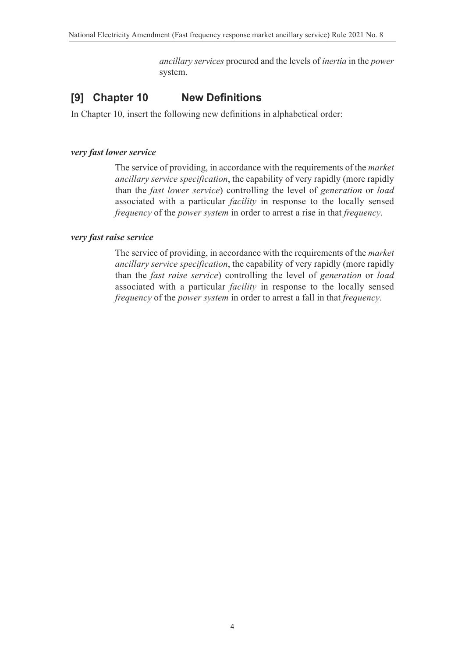*ancillary services* procured and the levels of *inertia* in the *power* system.

# **[9] Chapter 10 New Definitions**

In Chapter 10, insert the following new definitions in alphabetical order:

#### *very fast lower service*

The service of providing, in accordance with the requirements of the *market ancillary service specification*, the capability of very rapidly (more rapidly than the *fast lower service*) controlling the level of *generation* or *load* associated with a particular *facility* in response to the locally sensed *frequency* of the *power system* in order to arrest a rise in that *frequency*.

#### *very fast raise service*

The service of providing, in accordance with the requirements of the *market ancillary service specification*, the capability of very rapidly (more rapidly than the *fast raise service*) controlling the level of *generation* or *load* associated with a particular *facility* in response to the locally sensed *frequency* of the *power system* in order to arrest a fall in that *frequency*.